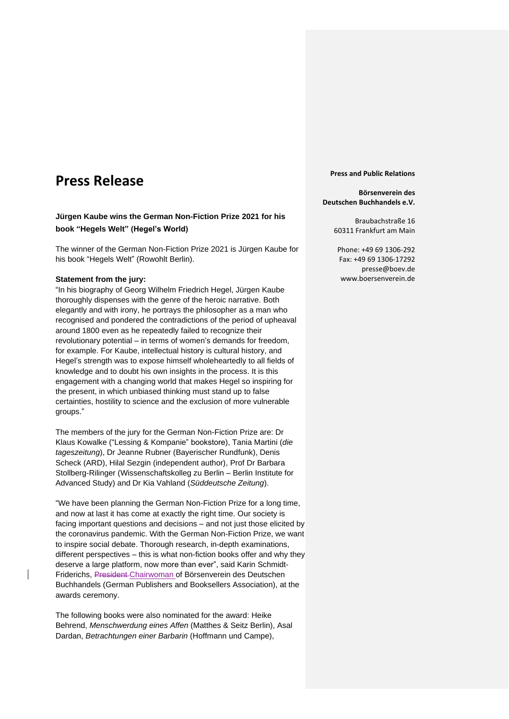# **Press Release**

## **Jürgen Kaube wins the German Non-Fiction Prize 2021 for his book "Hegels Welt" (Hegel's World)**

The winner of the German Non-Fiction Prize 2021 is Jürgen Kaube for his book "Hegels Welt" (Rowohlt Berlin).

#### **Statement from the jury:**

"In his biography of Georg Wilhelm Friedrich Hegel, Jürgen Kaube thoroughly dispenses with the genre of the heroic narrative. Both elegantly and with irony, he portrays the philosopher as a man who recognised and pondered the contradictions of the period of upheaval around 1800 even as he repeatedly failed to recognize their revolutionary potential – in terms of women's demands for freedom, for example. For Kaube, intellectual history is cultural history, and Hegel's strength was to expose himself wholeheartedly to all fields of knowledge and to doubt his own insights in the process. It is this engagement with a changing world that makes Hegel so inspiring for the present, in which unbiased thinking must stand up to false certainties, hostility to science and the exclusion of more vulnerable groups."

The members of the jury for the German Non-Fiction Prize are: Dr Klaus Kowalke ("Lessing & Kompanie" bookstore), Tania Martini (*die tageszeitung*), Dr Jeanne Rubner (Bayerischer Rundfunk), Denis Scheck (ARD), Hilal Sezgin (independent author), Prof Dr Barbara Stollberg-Rilinger (Wissenschaftskolleg zu Berlin – Berlin Institute for Advanced Study) and Dr Kia Vahland (*Süddeutsche Zeitung*).

"We have been planning the German Non-Fiction Prize for a long time, and now at last it has come at exactly the right time. Our society is facing important questions and decisions – and not just those elicited by the coronavirus pandemic. With the German Non-Fiction Prize, we want to inspire social debate. Thorough research, in-depth examinations, different perspectives – this is what non-fiction books offer and why they deserve a large platform, now more than ever", said Karin Schmidt-Friderichs, President Chairwoman of Börsenverein des Deutschen Buchhandels (German Publishers and Booksellers Association), at the awards ceremony.

The following books were also nominated for the award: Heike Behrend, *Menschwerdung eines Affen* (Matthes & Seitz Berlin), Asal Dardan, *Betrachtungen einer Barbarin* (Hoffmann und Campe),

**Press and Public Relations**

#### **Börsenverein des Deutschen Buchhandels e.V.**

Braubachstraße 16 60311 Frankfurt am Main

Phone: +49 69 1306-292 Fax: +49 69 1306-17292 presse@boev.de www.boersenverein.de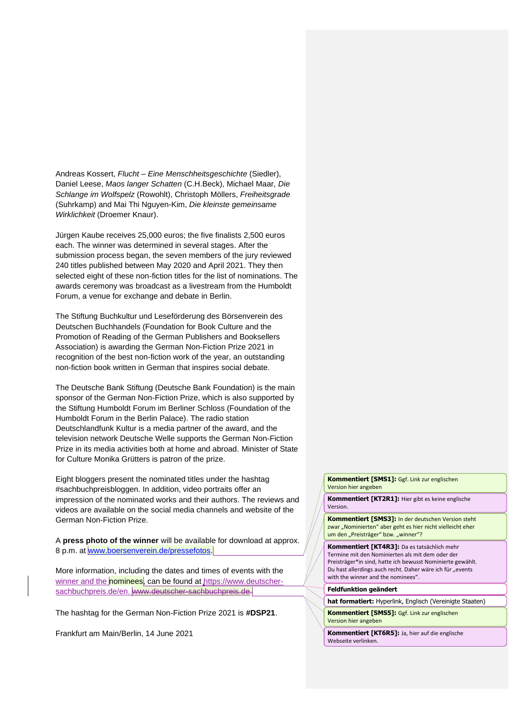Andreas Kossert, *Flucht – Eine Menschheitsgeschichte* (Siedler), Daniel Leese, *Maos langer Schatten* (C.H.Beck), Michael Maar, *Die Schlange im Wolfspelz* (Rowohlt), Christoph Möllers, *Freiheitsgrade* (Suhrkamp) and Mai Thi Nguyen-Kim, *Die kleinste gemeinsame Wirklichkeit* (Droemer Knaur).

Jürgen Kaube receives 25,000 euros; the five finalists 2,500 euros each. The winner was determined in several stages. After the submission process began, the seven members of the jury reviewed 240 titles published between May 2020 and April 2021. They then selected eight of these non-fiction titles for the list of nominations. The awards ceremony was broadcast as a livestream from the Humboldt Forum, a venue for exchange and debate in Berlin.

The Stiftung Buchkultur und Leseförderung des Börsenverein des Deutschen Buchhandels (Foundation for Book Culture and the Promotion of Reading of the German Publishers and Booksellers Association) is awarding the German Non-Fiction Prize 2021 in recognition of the best non-fiction work of the year, an outstanding non-fiction book written in German that inspires social debate.

The Deutsche Bank Stiftung (Deutsche Bank Foundation) is the main sponsor of the German Non-Fiction Prize, which is also supported by the Stiftung Humboldt Forum im Berliner Schloss (Foundation of the Humboldt Forum in the Berlin Palace). The radio station Deutschlandfunk Kultur is a media partner of the award, and the television network Deutsche Welle supports the German Non-Fiction Prize in its media activities both at home and abroad. Minister of State for Culture Monika Grütters is patron of the prize.

Eight bloggers present the nominated titles under the hashtag #sachbuchpreisbloggen. In addition, video portraits offer an impression of the nominated works and their authors. The reviews and videos are available on the social media channels and website of the German Non-Fiction Prize.

A **press photo of the winner** will be available for download at approx. 8 p.m. at [www.boersenverein.de/pressefotos.](https://www.boersenverein.de/presse/pressefotos/)

More information, including the dates and times of events with the winner and the nominees, can be found at [https://www.deutscher](https://www.deutscher-sachbuchpreis.de/en)[sachbuchpreis.de/en.](https://www.deutscher-sachbuchpreis.de/en) www.deutscher-sachbuchpreis.de.

The hashtag for the German Non-Fiction Prize 2021 is **#DSP21**.

Frankfurt am Main/Berlin, 14 June 2021

**Kommentiert [SMS1]:** Ggf. Link zur englischen Version hier angeben

**Kommentiert [KT2R1]:** Hier gibt es keine englische Version.

**Kommentiert [SMS3]:** In der deutschen Version steht zwar "Nominierten" aber geht es hier nicht vielleicht eher um den "Preisträger" bzw. "winner"?

**Kommentiert [KT4R3]:** Da es tatsächlich mehr Termine mit den Nominierten als mit dem oder der Preisträger\*in sind, hatte ich bewusst Nominierte gewählt. Du hast allerdings auch recht. Daher wäre ich für "events with the winner and the nominees".

#### **Feldfunktion geändert**

**hat formatiert:** Hyperlink, Englisch (Vereinigte Staaten)

**Kommentiert [SMS5]:** Ggf. Link zur englischen Version hier angeben

**Kommentiert [KT6R5]:** Ja, hier auf die englische Webseite verlinken.